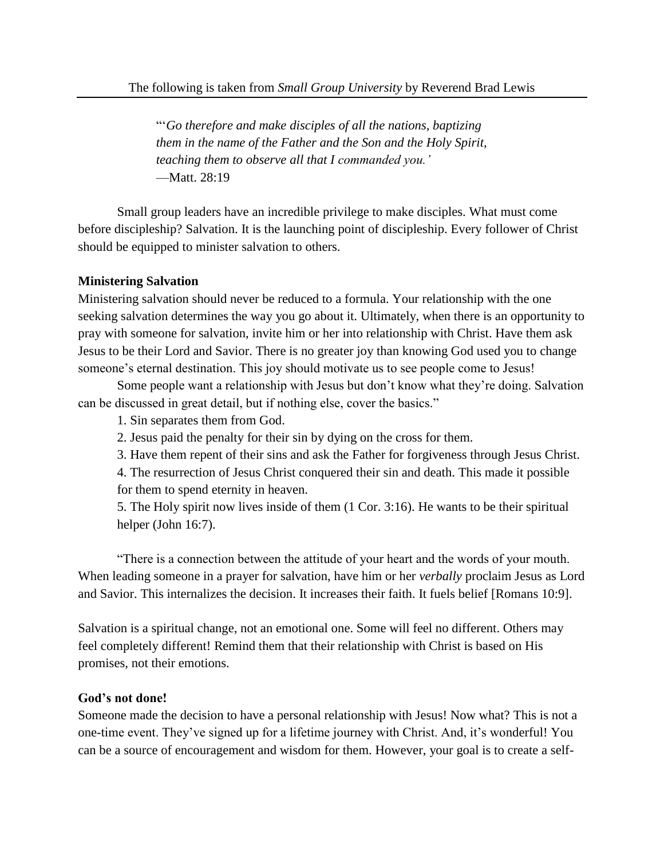"'*Go therefore and make disciples of all the nations, baptizing them in the name of the Father and the Son and the Holy Spirit, teaching them to observe all that I commanded you.'* —Matt. 28:19

Small group leaders have an incredible privilege to make disciples. What must come before discipleship? Salvation. It is the launching point of discipleship. Every follower of Christ should be equipped to minister salvation to others.

## **Ministering Salvation**

Ministering salvation should never be reduced to a formula. Your relationship with the one seeking salvation determines the way you go about it. Ultimately, when there is an opportunity to pray with someone for salvation, invite him or her into relationship with Christ. Have them ask Jesus to be their Lord and Savior. There is no greater joy than knowing God used you to change someone's eternal destination. This joy should motivate us to see people come to Jesus!

Some people want a relationship with Jesus but don't know what they're doing. Salvation can be discussed in great detail, but if nothing else, cover the basics."

1. Sin separates them from God.

2. Jesus paid the penalty for their sin by dying on the cross for them.

3. Have them repent of their sins and ask the Father for forgiveness through Jesus Christ.

4. The resurrection of Jesus Christ conquered their sin and death. This made it possible for them to spend eternity in heaven.

5. The Holy spirit now lives inside of them (1 Cor. 3:16). He wants to be their spiritual helper (John 16:7).

"There is a connection between the attitude of your heart and the words of your mouth. When leading someone in a prayer for salvation, have him or her *verbally* proclaim Jesus as Lord and Savior. This internalizes the decision. It increases their faith. It fuels belief [Romans 10:9].

Salvation is a spiritual change, not an emotional one. Some will feel no different. Others may feel completely different! Remind them that their relationship with Christ is based on His promises, not their emotions.

## **God's not done!**

Someone made the decision to have a personal relationship with Jesus! Now what? This is not a one-time event. They've signed up for a lifetime journey with Christ. And, it's wonderful! You can be a source of encouragement and wisdom for them. However, your goal is to create a self